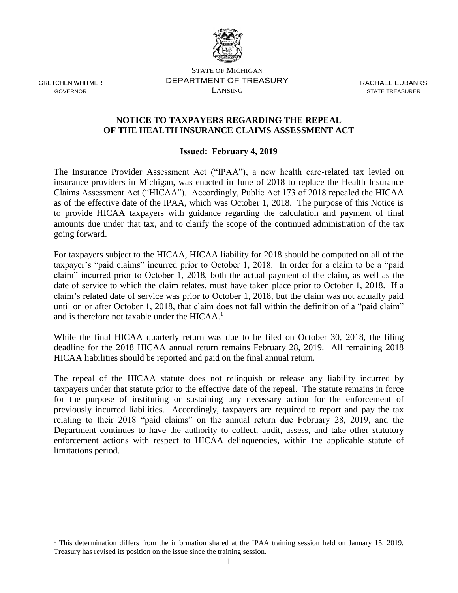

GRETCHEN WHITMER GOVERNOR

 $\overline{a}$ 

STATE OF MICHIGAN DEPARTMENT OF TREASURY LANSING

RACHAEL EUBANKS STATE TREASURER

## **NOTICE TO TAXPAYERS REGARDING THE REPEAL OF THE HEALTH INSURANCE CLAIMS ASSESSMENT ACT**

## **Issued: February 4, 2019**

The Insurance Provider Assessment Act ("IPAA"), a new health care-related tax levied on insurance providers in Michigan, was enacted in June of 2018 to replace the Health Insurance Claims Assessment Act ("HICAA"). Accordingly, Public Act 173 of 2018 repealed the HICAA as of the effective date of the IPAA, which was October 1, 2018. The purpose of this Notice is to provide HICAA taxpayers with guidance regarding the calculation and payment of final amounts due under that tax, and to clarify the scope of the continued administration of the tax going forward.

For taxpayers subject to the HICAA, HICAA liability for 2018 should be computed on all of the taxpayer's "paid claims" incurred prior to October 1, 2018. In order for a claim to be a "paid claim" incurred prior to October 1, 2018, both the actual payment of the claim, as well as the date of service to which the claim relates, must have taken place prior to October 1, 2018. If a claim's related date of service was prior to October 1, 2018, but the claim was not actually paid until on or after October 1, 2018, that claim does not fall within the definition of a "paid claim" and is therefore not taxable under the  $HICAA<sup>1</sup>$ 

While the final HICAA quarterly return was due to be filed on October 30, 2018, the filing deadline for the 2018 HICAA annual return remains February 28, 2019. All remaining 2018 HICAA liabilities should be reported and paid on the final annual return.

The repeal of the HICAA statute does not relinquish or release any liability incurred by taxpayers under that statute prior to the effective date of the repeal. The statute remains in force for the purpose of instituting or sustaining any necessary action for the enforcement of previously incurred liabilities. Accordingly, taxpayers are required to report and pay the tax relating to their 2018 "paid claims" on the annual return due February 28, 2019, and the Department continues to have the authority to collect, audit, assess, and take other statutory enforcement actions with respect to HICAA delinquencies, within the applicable statute of limitations period.

<sup>&</sup>lt;sup>1</sup> This determination differs from the information shared at the IPAA training session held on January 15, 2019. Treasury has revised its position on the issue since the training session.